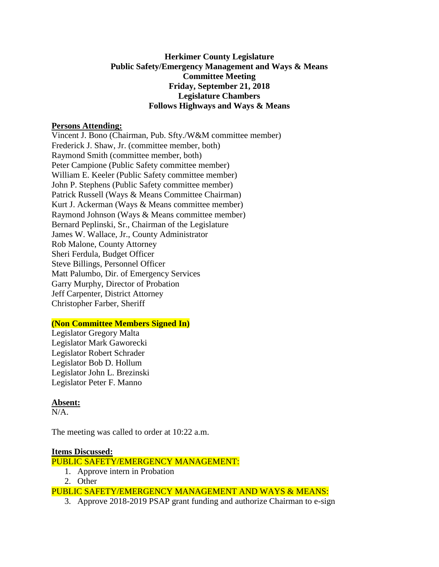# **Herkimer County Legislature Public Safety/Emergency Management and Ways & Means Committee Meeting Friday, September 21, 2018 Legislature Chambers Follows Highways and Ways & Means**

## **Persons Attending:**

Vincent J. Bono (Chairman, Pub. Sfty./W&M committee member) Frederick J. Shaw, Jr. (committee member, both) Raymond Smith (committee member, both) Peter Campione (Public Safety committee member) William E. Keeler (Public Safety committee member) John P. Stephens (Public Safety committee member) Patrick Russell (Ways & Means Committee Chairman) Kurt J. Ackerman (Ways & Means committee member) Raymond Johnson (Ways & Means committee member) Bernard Peplinski, Sr., Chairman of the Legislature James W. Wallace, Jr., County Administrator Rob Malone, County Attorney Sheri Ferdula, Budget Officer Steve Billings, Personnel Officer Matt Palumbo, Dir. of Emergency Services Garry Murphy, Director of Probation Jeff Carpenter, District Attorney Christopher Farber, Sheriff

## **(Non Committee Members Signed In)**

Legislator Gregory Malta Legislator Mark Gaworecki Legislator Robert Schrader Legislator Bob D. Hollum Legislator John L. Brezinski Legislator Peter F. Manno

## **Absent:**

 $N/A$ .

The meeting was called to order at 10:22 a.m.

#### **Items Discussed:**

PUBLIC SAFETY/EMERGENCY MANAGEMENT:

- 1. Approve intern in Probation
- 2. Other

PUBLIC SAFETY/EMERGENCY MANAGEMENT AND WAYS & MEANS:

3. Approve 2018-2019 PSAP grant funding and authorize Chairman to e-sign